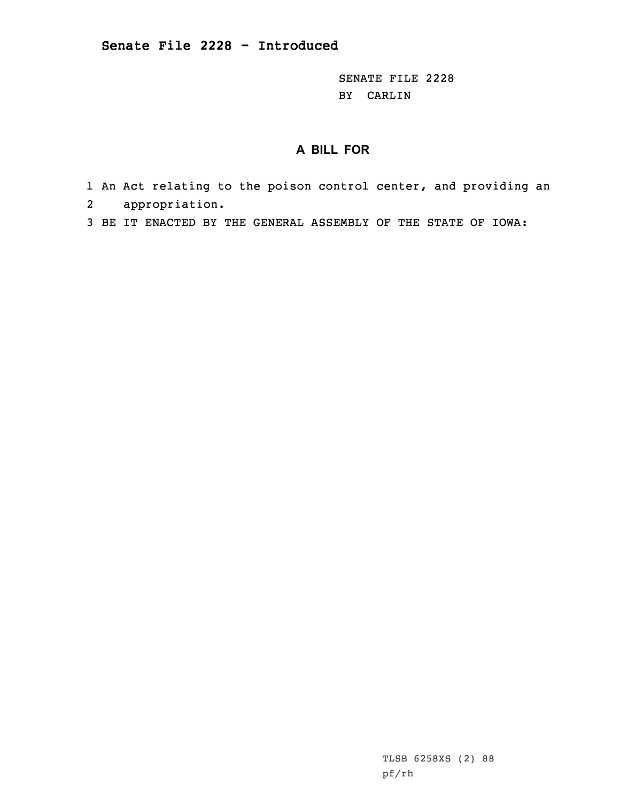SENATE FILE 2228 BY CARLIN

## **A BILL FOR**

- 1 An Act relating to the poison control center, and providing an 2 appropriation.
- 3 BE IT ENACTED BY THE GENERAL ASSEMBLY OF THE STATE OF IOWA:

TLSB 6258XS (2) 88 pf/rh